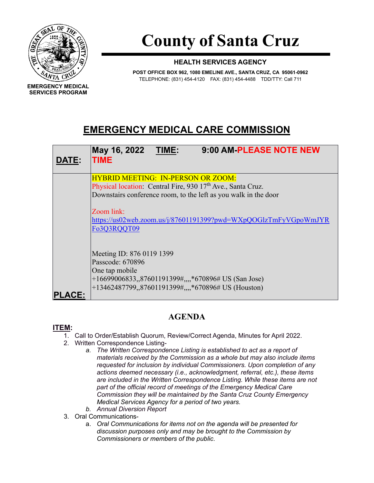

**SERVICES PROGRAM**

**County of Santa Cruz**

### **HEALTH SERVICES AGENCY**

**POST OFFICE BOX 962, 1080 EMELINE AVE., SANTA CRUZ, CA 95061-0962** TELEPHONE: (831) 454-4120 FAX: (831) 454-4488 TDD/TTY: Call 711

# **EMERGENCY MEDICAL CARE COMMISSION**

| <b>DATE:</b>   | May 16, 2022<br>9:00 AM-PLEASE NOTE NEW<br>TIME:<br><b>TIME</b>                                                                                                                |
|----------------|--------------------------------------------------------------------------------------------------------------------------------------------------------------------------------|
|                | <b>HYBRID MEETING: IN-PERSON OR ZOOM:</b><br>Physical location: Central Fire, 930 17th Ave., Santa Cruz.<br>Downstairs conference room, to the left as you walk in the door    |
|                | Zoom link:<br>https://us02web.zoom.us/j/87601191399?pwd=WXpQOGlzTmFyVGpoWmJYR<br>Fo3Q3RQQT09                                                                                   |
| <b>IPLACE:</b> | Meeting ID: 876 0119 1399<br>Passcode: 670896<br>One tap mobile<br>+16699006833,,87601191399#,,,,*670896# US (San Jose)<br>+13462487799,,87601191399#,,,,*670896# US (Houston) |

## **AGENDA**

### **ITEM:**

- 1. Call to Order/Establish Quorum, Review/Correct Agenda, Minutes for April 2022.
- 2. Written Correspondence Listing
	- *a. The Written Correspondence Listing is established to act as a report of materials received by the Commission as a whole but may also include items requested for inclusion by individual Commissioners. Upon completion of any actions deemed necessary (i.e., acknowledgment, referral, etc.), these items are included in the Written Correspondence Listing. While these items are not part of the official record of meetings of the Emergency Medical Care Commission they will be maintained by the Santa Cruz County Emergency Medical Services Agency for a period of two years.*
	- *b. Annual Diversion Report*
- 3. Oral Communications
	- a. *Oral Communications for items not on the agenda will be presented for discussion purposes only and may be brought to the Commission by Commissioners or members of the public*.